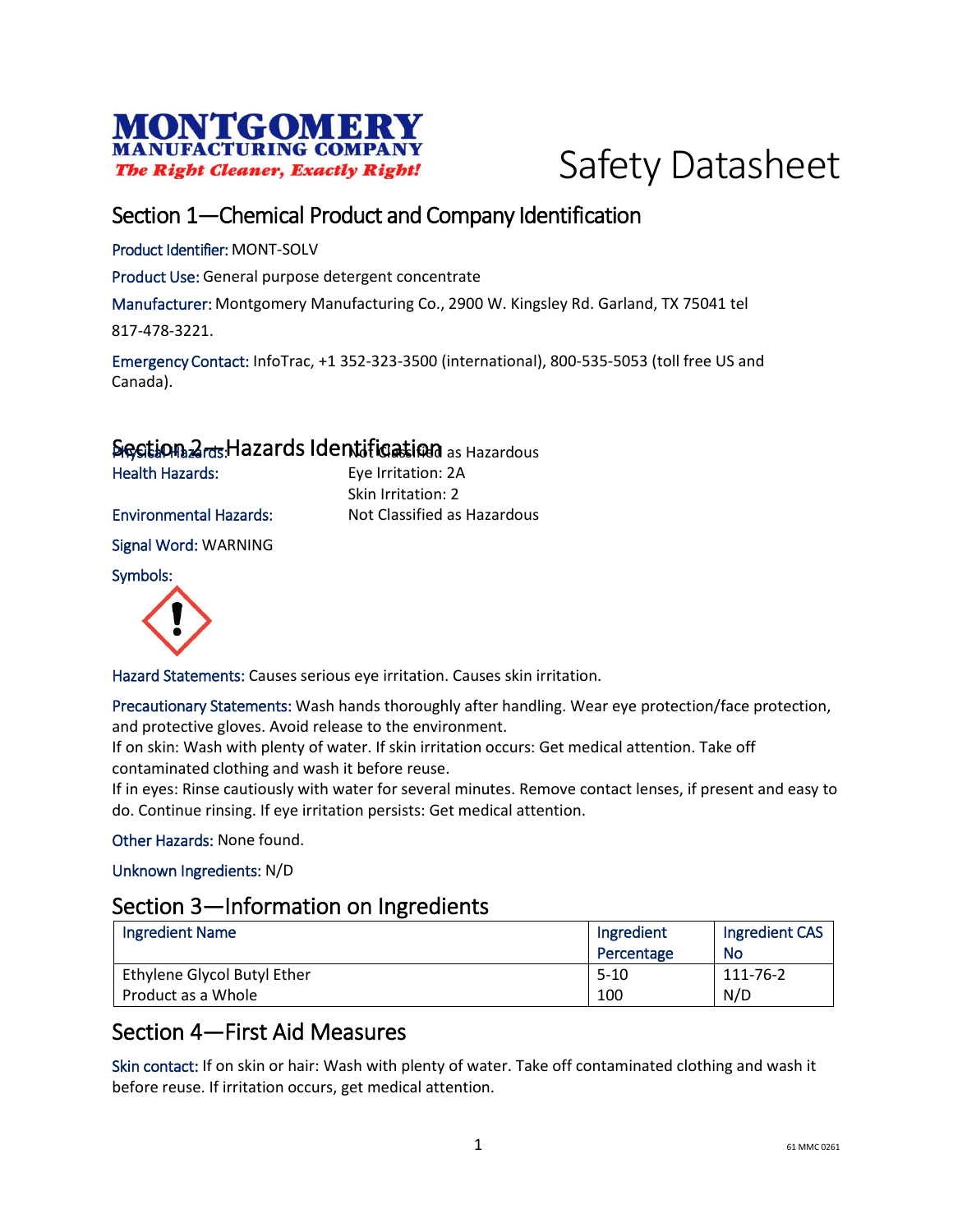



# Section 1—Chemical Product and Company Identification

Product Identifier: MONT-SOLV

Product Use: General purpose detergent concentrate

Manufacturer: Montgomery Manufacturing Co., 2900 W. Kingsley Rd. Garland, TX 75041 tel

817-478-3221.

Emergency Contact: InfoTrac, +1 352-323-3500 (international), 800-535-5053 (toll free US and Canada).

# Section 2<sub>rds</sub> Hazards Identification as Hazardous

Health Hazards: Eye Irritation: 2A Skin Irritation: 2 Environmental Hazards: Not Classified as Hazardous

Signal Word: WARNING

Symbols:



Hazard Statements: Causes serious eye irritation. Causes skin irritation.

Precautionary Statements: Wash hands thoroughly after handling. Wear eye protection/face protection, and protective gloves. Avoid release to the environment.

If on skin: Wash with plenty of water. If skin irritation occurs: Get medical attention. Take off contaminated clothing and wash it before reuse.

If in eyes: Rinse cautiously with water for several minutes. Remove contact lenses, if present and easy to do. Continue rinsing. If eye irritation persists: Get medical attention.

Other Hazards: None found.

Unknown Ingredients: N/D

#### Section 3—Information on Ingredients

| <b>Ingredient Name</b>      | Ingredient | Ingredient CAS |
|-----------------------------|------------|----------------|
|                             | Percentage | No             |
| Ethylene Glycol Butyl Ether | $5-10$     | 111-76-2       |
| Product as a Whole          | 100        | N/D            |

## Section 4—First Aid Measures

Skin contact: If on skin or hair: Wash with plenty of water. Take off contaminated clothing and wash it before reuse. If irritation occurs, get medical attention.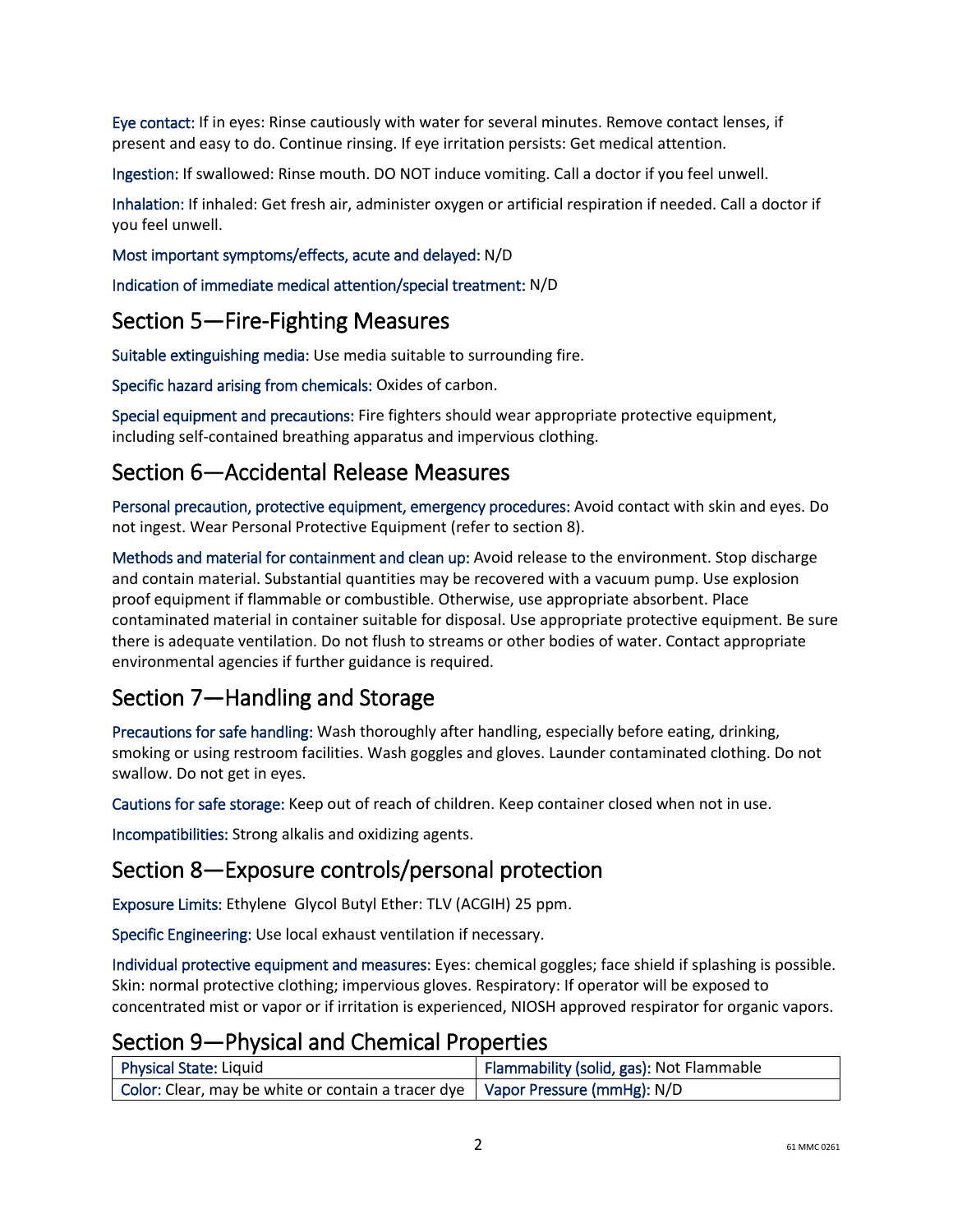Eye contact: If in eyes: Rinse cautiously with water for several minutes. Remove contact lenses, if present and easy to do. Continue rinsing. If eye irritation persists: Get medical attention.

Ingestion: If swallowed: Rinse mouth. DO NOT induce vomiting. Call a doctor if you feel unwell.

Inhalation: If inhaled: Get fresh air, administer oxygen or artificial respiration if needed. Call a doctor if you feel unwell.

#### Most important symptoms/effects, acute and delayed: N/D

Indication of immediate medical attention/special treatment: N/D

#### Section 5—Fire-Fighting Measures

Suitable extinguishing media: Use media suitable to surrounding fire.

Specific hazard arising from chemicals: Oxides of carbon.

Special equipment and precautions: Fire fighters should wear appropriate protective equipment, including self-contained breathing apparatus and impervious clothing.

## Section 6—Accidental Release Measures

Personal precaution, protective equipment, emergency procedures: Avoid contact with skin and eyes. Do not ingest. Wear Personal Protective Equipment (refer to section 8).

Methods and material for containment and clean up: Avoid release to the environment. Stop discharge and contain material. Substantial quantities may be recovered with a vacuum pump. Use explosion proof equipment if flammable or combustible. Otherwise, use appropriate absorbent. Place contaminated material in container suitable for disposal. Use appropriate protective equipment. Be sure there is adequate ventilation. Do not flush to streams or other bodies of water. Contact appropriate environmental agencies if further guidance is required.

# Section 7—Handling and Storage

Precautions for safe handling: Wash thoroughly after handling, especially before eating, drinking, smoking or using restroom facilities. Wash goggles and gloves. Launder contaminated clothing. Do not swallow. Do not get in eyes.

Cautions for safe storage: Keep out of reach of children. Keep container closed when not in use.

Incompatibilities: Strong alkalis and oxidizing agents.

#### Section 8—Exposure controls/personal protection

Exposure Limits: Ethylene Glycol Butyl Ether: TLV (ACGIH) 25 ppm.

Specific Engineering: Use local exhaust ventilation if necessary.

Individual protective equipment and measures: Eyes: chemical goggles; face shield if splashing is possible. Skin: normal protective clothing; impervious gloves. Respiratory: If operator will be exposed to concentrated mist or vapor or if irritation is experienced, NIOSH approved respirator for organic vapors.

### Section 9—Physical and Chemical Properties

| <b>Physical State: Liquid</b>                                                   | Flammability (solid, gas): Not Flammable |
|---------------------------------------------------------------------------------|------------------------------------------|
| Color: Clear, may be white or contain a tracer dye   Vapor Pressure (mmHg): N/D |                                          |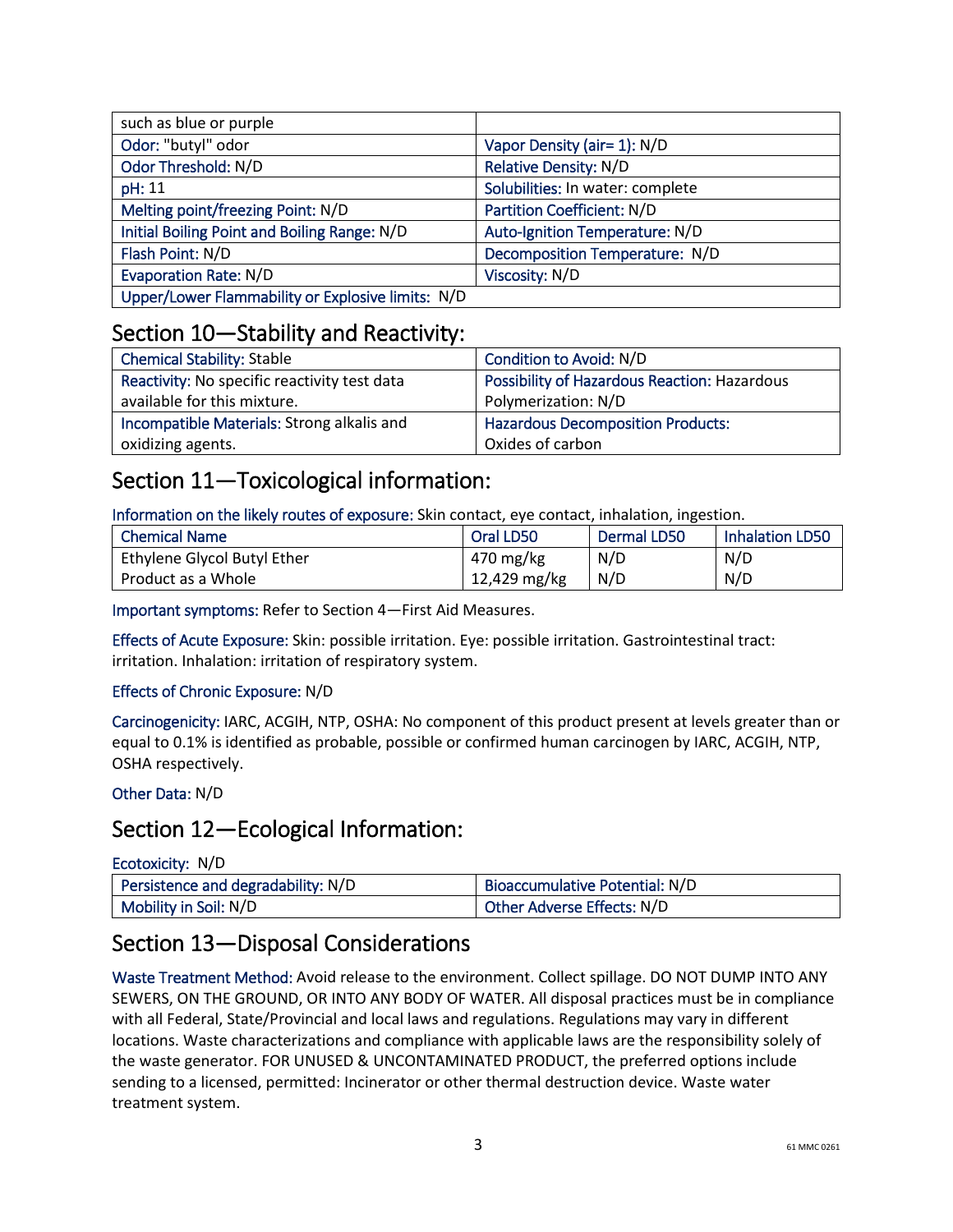| such as blue or purple                            |                                   |
|---------------------------------------------------|-----------------------------------|
| Odor: "butyl" odor                                | Vapor Density (air= 1): N/D       |
| Odor Threshold: N/D                               | Relative Density: N/D             |
| pH: 11                                            | Solubilities: In water: complete  |
| Melting point/freezing Point: N/D                 | <b>Partition Coefficient: N/D</b> |
| Initial Boiling Point and Boiling Range: N/D      | Auto-Ignition Temperature: N/D    |
| Flash Point: N/D                                  | Decomposition Temperature: N/D    |
| <b>Evaporation Rate: N/D</b>                      | Viscosity: N/D                    |
| Upper/Lower Flammability or Explosive limits: N/D |                                   |

## Section 10—Stability and Reactivity:

| <b>Chemical Stability: Stable</b>            | Condition to Avoid: N/D                      |
|----------------------------------------------|----------------------------------------------|
| Reactivity: No specific reactivity test data | Possibility of Hazardous Reaction: Hazardous |
| available for this mixture.                  | Polymerization: N/D                          |
| Incompatible Materials: Strong alkalis and   | <b>Hazardous Decomposition Products:</b>     |
| oxidizing agents.                            | Oxides of carbon                             |

# Section 11—Toxicological information:

Information on the likely routes of exposure: Skin contact, eye contact, inhalation, ingestion.

| <b>Chemical Name</b>        | Oral LD50    | Dermal LD50 | <b>Inhalation LD50</b> |
|-----------------------------|--------------|-------------|------------------------|
| Ethylene Glycol Butyl Ether | 470 mg/kg    | N/D         | N/D                    |
| Product as a Whole          | 12,429 mg/kg | N/D         | N/D                    |

Important symptoms: Refer to Section 4—First Aid Measures.

Effects of Acute Exposure: Skin: possible irritation. Eye: possible irritation. Gastrointestinal tract: irritation. Inhalation: irritation of respiratory system.

#### Effects of Chronic Exposure: N/D

Carcinogenicity: IARC, ACGIH, NTP, OSHA: No component of this product present at levels greater than or equal to 0.1% is identified as probable, possible or confirmed human carcinogen by IARC, ACGIH, NTP, OSHA respectively.

#### Other Data: N/D

# Section 12—Ecological Information:

| Ecotoxicity: N/D                   |                                |
|------------------------------------|--------------------------------|
| Persistence and degradability: N/D | Bioaccumulative Potential: N/D |
| Mobility in Soil: N/D              | Other Adverse Effects: N/D     |

# Section 13—Disposal Considerations

Waste Treatment Method: Avoid release to the environment. Collect spillage. DO NOT DUMP INTO ANY SEWERS, ON THE GROUND, OR INTO ANY BODY OF WATER. All disposal practices must be in compliance with all Federal, State/Provincial and local laws and regulations. Regulations may vary in different locations. Waste characterizations and compliance with applicable laws are the responsibility solely of the waste generator. FOR UNUSED & UNCONTAMINATED PRODUCT, the preferred options include sending to a licensed, permitted: Incinerator or other thermal destruction device. Waste water treatment system.